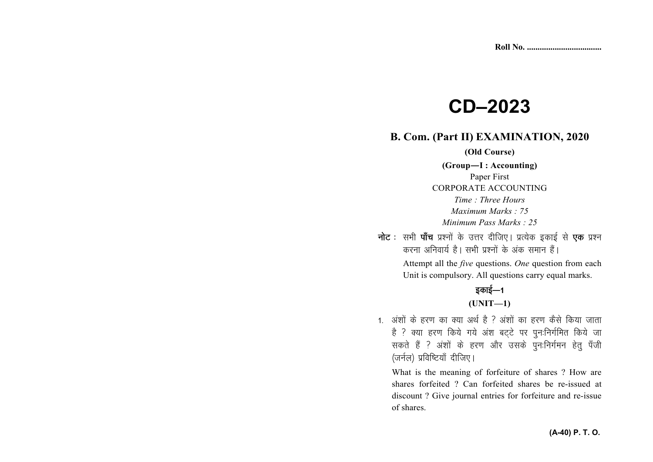# **CD–2023**

# **B. Com. (Part II) EXAMINATION, 2020**

**(Old Course)** 

**(Group—I : Accounting)** Paper First CORPORATE ACCOUNTING *Time : Three Hours Maximum Marks : 75 Minimum Pass Marks : 25*

**नोट** : सभी **पाँच** प्रश्नों के उत्तर दीजिए। प्रत्येक इकाई से **एक** प्रश्न करना अनिवार्य है। सभी प्रश्नों के अंक समान हैं।

> Attempt all the *five* questions. *One* question from each Unit is compulsory. All questions carry equal marks.

## डकाई $-1$ **(UNIT—1)**

1. अंशों के हरण का क्या अर्थ है ? अंशों का हरण कैसे किया जाता है ? क्या हरण किये गये अंश बट्टे पर पुनःनिर्गमित किये जा सकते हैं ? अंशों के हरण और उसके पुनःनिर्गमन हेतु पँजी (जर्नल) प्रविष्टियाँ दीजिए।

What is the meaning of forfeiture of shares ? How are shares forfeited ? Can forfeited shares be re-issued at discount ? Give journal entries for forfeiture and re-issue of shares.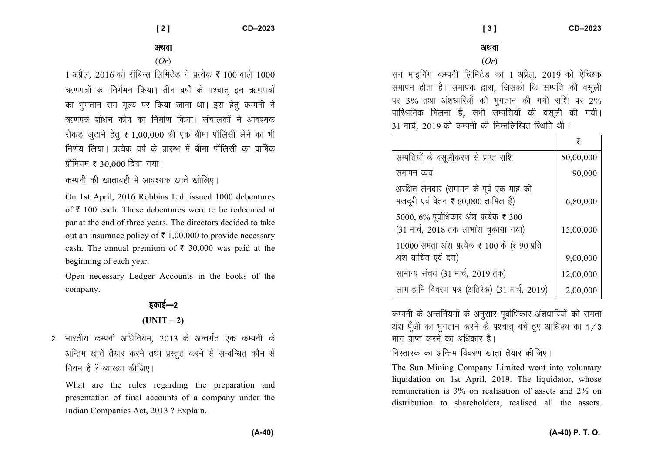#### अथवा

(*Or*)

 $1~$ अप्रैल, 2016 को रॉबिन्स लिमिटेड ने प्रत्येक ₹ 100 वाले 1000 ऋणपत्रों का निर्गमन किया। तीन वर्षों के पश्चात इन ऋणपत्रों का भुगतान सम मूल्य पर किया जाना था। इस हेतु कम्पनी ने ऋणपत्र शोधन कोष का निर्माण किया। संचालकों ने आवश्यक रोकड़ जुटाने हेतु **₹** 1,00,000 की एक बीमा पॉलिसी लेने का भी निर्णय लिया। पत्येक वर्ष के पारम्भ में बीमा पॉलिसी का वार्षिक प्रीमियम ₹ 30,000 दिया गया।

कम्पनी की खाताबही में आवश्यक खाते खोलिए।

On 1st April, 2016 Robbins Ltd. issued 1000 debentures of  $\bar{\tau}$  100 each. These debentures were to be redeemed at par at the end of three years. The directors decided to take out an insurance policy of  $\bar{\tau}$  1,00,000 to provide necessary cash. The annual premium of  $\bar{\tau}$  30,000 was paid at the beginning of each year.

Open necessary Ledger Accounts in the books of the company.

# डकाई—2

- **(UNIT—2)** 2. भारतीय कम्पनी अधिनियम, 2013 के अन्तर्गत एक कम्पनी के
- अन्तिम खाते तैयार करने तथा प्रस्तुत करने से सम्बन्धित कौन से नियम हैं ? व्याख्या कीजिए।

What are the rules regarding the preparation and presentation of final accounts of a company under the Indian Companies Act, 2013 ? Explain.

### अथवा

#### (*Or*)

सन माइनिंग कम्पनी लिमिटेड का 1 अप्रैल, 2019 को ऐच्छिक समापन होता है। समापक द्वारा, जिसको कि सम्पत्ति की वसूली पर 3% तथा अंशधारियों को भुगतान की गयी राशि पर 2% पारिश्रमिक मिलना है, सभी सम्पत्तियों की वसूली की गयी। 31 मार्च, 2019 को कम्पनी की निम्नलिखित रिथति थी :-

|                                                                                  | ₹         |
|----------------------------------------------------------------------------------|-----------|
| सम्पत्तियों के वसूलीकरण से प्राप्त राशि                                          | 50,00,000 |
| समापन व्यय                                                                       | 90,000    |
| अरक्षित लेनदार (समापन के पूर्व एक माह की<br>मजदूरी एवं वेतन ₹ 60,000 शामिल हैं)  | 6,80,000  |
| 5000, 6% पूर्वाधिकार अंश प्रत्येक ₹ 300<br>(31 मार्च, 2018 तक लाभांश चुकाया गया) | 15,00,000 |
| 10000 समता अंश प्रत्येक ₹ 100 के (₹ 90 प्रति<br>अंश याचित एवं दत्त)              | 9,00,000  |
| सामान्य संचय (31 मार्च, 2019 तक)                                                 | 12,00,000 |
| लाभ-हानि विवरण पत्र (अतिरेक) (31 मार्च, 2019)                                    | 2,00,000  |

कम्पनी के अन्तर्नियमों के अनुसार पूर्वाधिकार अंशधारियों को समता अंश पूँजी का भुगतान करने के पश्चात् बचे हुए आधिक्य का 1/3 भाग पाप्त करने का अधिकार है।

निस्तारक का अन्तिम विवरण खाता तैयार कीजिए।

The Sun Mining Company Limited went into voluntary liquidation on 1st April, 2019. The liquidator, whose remuneration is 3% on realisation of assets and 2% on distribution to shareholders, realised all the assets.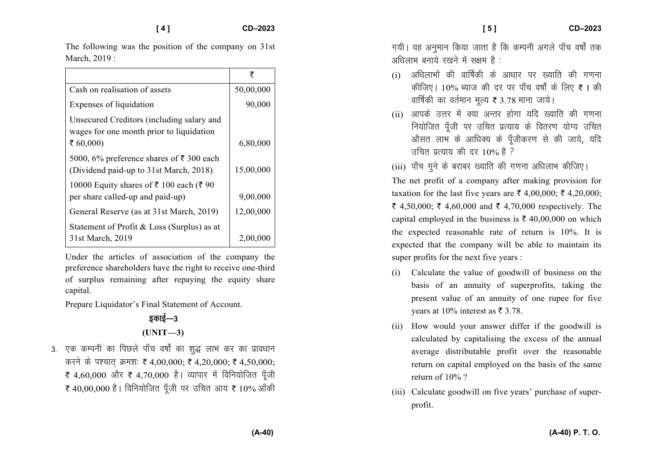The following was the position of the company on 31st March, 2019 :

|                                                                                               | ₹         |
|-----------------------------------------------------------------------------------------------|-----------|
| Cash on realisation of assets                                                                 | 50,00,000 |
| Expenses of liquidation                                                                       | 90,000    |
| Unsecured Creditors (including salary and<br>wages for one month prior to liquidation         |           |
| ₹ $60,000$                                                                                    | 6,80,000  |
| 5000, 6% preference shares of $\bar{\tau}$ 300 each<br>(Dividend paid-up to 31st March, 2018) | 15,00,000 |
| 10000 Equity shares of ₹ 100 each (₹ 90<br>per share called-up and paid-up)                   | 9,00,000  |
| General Reserve (as at 31st March, 2019)                                                      | 12,00,000 |
| Statement of Profit & Loss (Surplus) as at<br>31st March, 2019                                | 2,00,00   |

Under the articles of association of the company the preference shareholders have the right to receive one-third of surplus remaining after repaying the equity share capital.

Prepare Liquidator's Final Statement of Account.

# डकाई—3 **(UNIT—3)**

3. एक कम्पनी का पिछले पाँच वर्षों का शुद्ध लाभ कर का प्रावधान करने के पश्चात् क्रमशः ₹ 4,00,000; ₹ 4,20,000; ₹ 4,50,000; र 4,60,000 और र 4,70,000 है। व्यापार में विनियोजित पूँजी ₹ 40,00,000 है। विनियोजित पूँजी पर उचित आय ₹ 10% आँकी गयी। यह अनुमान किया जाता है कि कम्पनी अगले पाँच वर्षों तक अधिलाभ बनाये रखने में सक्षम है $\pm$ 

- $(i)$  अधिलाभों की वार्षिकी के आधार पर ख्याति की गणना कीजिए। 10% ब्याज की दर पर पाँच वर्षों के लिए ₹ 1 की वार्षिकी का वर्तमान मूल्य ₹ 3.78 माना जाये।
- (ii) आपके उत्तर में क्या अन्तर होगा यदि ख्याति की गणना नियोजित पूँजी पर उचित प्रत्याय के वितरण योग्य उचित ओसत लाभ के आधिक्य के पूँजीकरण से की जाये, यदि  $\pi$ चित प्रत्याय की दर 10% है ?
- (iii) पाँच गुने के बराबर ख्याति की गणना अधिलाभ कीजिए।

The net profit of a company after making provision for taxation for the last five years are  $\bar{\xi}$  4,00,000;  $\bar{\xi}$  4,20,000; ₹ 4,50,000; ₹ 4,60,000 and ₹ 4,70,000 respectively. The capital employed in the business is  $\bar{\tau}$  40,00,000 on which the expected reasonable rate of return is 10%. It is expected that the company will be able to maintain its super profits for the next five years :

- (i) Calculate the value of goodwill of business on the basis of an annuity of superprofits, taking the present value of an annuity of one rupee for five years at 10% interest as  $\bar{\mathfrak{g}}$  3.78.
- (ii) How would your answer differ if the goodwill is calculated by capitalising the excess of the annualaverage distributable profit over the reasonable return on capital employed on the basis of the samereturn of 10% ?
- (iii) Calculate goodwill on five years' purchase of superprofit.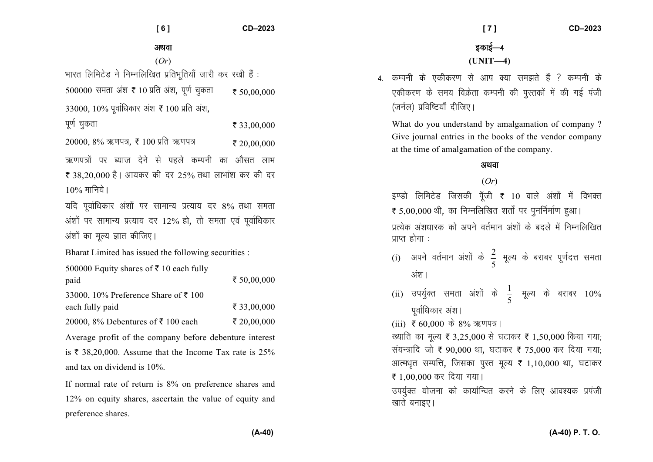**[ 6 ] CD–2023** 

अथवा

(*Or*) भारत लिमिटेड ने निम्नलिखित प्रतिभूतियाँ जारी कर रखी हैं: 500000 समता अंश **₹** 10 प्रति अंश, पूर्ण चुकता  $\bar{\tau}$  50,000,000 33000, 10% पूर्वाधिकार अंश ₹ 100 प्रति अंश, पर्ण चकता  $\bar{z}$  33,00,000 20000, 8% ऋणपत्र, ₹ 100 प्रति ऋणपत्र  $\bar{\tau}$  20,00,000 ऋणपत्रों पर ब्याज देने से पहले कम्पनी का औसत लाभ र 38,20,000 है। आयकर की दर 25% तथा लाभांश कर की दर  $10\%$  मानिये। यदि पूर्वाधिकार अंशों पर सामान्य प्रत्याय दर 8% तथा समता अंशों पर सामान्य प्रत्याय दर 12% हो, तो समता एवं पूर्वाधिकार अंशों का मल्य ज्ञात कीजिए। Bharat Limited has issued the following securities : 500000 Equity shares of  $\bar{\tau}$  10 each fully paid ₹ 50,00,000 33000, 10% Preference Share of  $\bar{z}$  100 each fully paid  $\bar{\tau}$  33,00,000 20000, 8% Debentures of  $\bar{\tau}$  100 each  $\bar{\tau}$  20,00,000 Average profit of the company before debenture interest is  $\bar{\tau}$  38,20,000. Assume that the Income Tax rate is 25% and tax on dividend is 10%. If normal rate of return is 8% on preference shares and

12% on equity shares, ascertain the value of equity and

preference shares.

इकाई—4 **(UNIT—4)** 

4 कम्पनी के एकीकरण से आप क्या समझते हैं ? कम्पनी के एकीकरण के समय विक्रेता कम्पनी की पुस्तकों में की गई पंजी (जर्नल) प्रविष्टियाँ दीजिए।

What do you understand by amalgamation of company ?Give journal entries in the books of the vendor company at the time of amalgamation of the company.

#### अथवा

#### (*Or*)

इण्डो लिमिटेड जिसकी पूँजी **₹** 10 वाले अंशों में विभक्त  $\bar{\tau}$  5,00,000 थी, का निम्नलिखित शर्तों पर पुनर्निर्माण हुआ। प्रत्येक अंशधारक को अपने वर्तमान अंशों के बदले में निम्नलिखित प्राप्त होगा $\cdot$ 

- $\displaystyle \mathrm{(i)}$  अपने वर्तमान अंशों के  $\frac{2}{1}$  $\frac{2}{5}$  मूल्य के बराबर पूर्णदत्त समता<br>5 अंश ।
- (ii) उपर्युक्त समता अंशों के  $\overline{1}$  $\frac{1}{5}$  मूल्य के बराबर 10% पर्वाधिकार अंश।
- (iii) ₹ 60,000 के 8% ऋणपत्र।

ख्याति का मूल्य ₹ 3,25,000 से घटाकर ₹ 1,50,000 किया गया; संयन्त्रादि जो ₹ 90,000 था, घटाकर ₹ 75,000 कर दिया गया; आत्मधृत सम्पत्ति, जिसका पुस्त मूल्य **₹** 1,10,000 था, घटाकर रू 1,00,000 कर दिया गया। उपर्युक्त योजना को कार्यान्वित करने के लिए आवश्यक प्रपंजी

खाते बनाइए।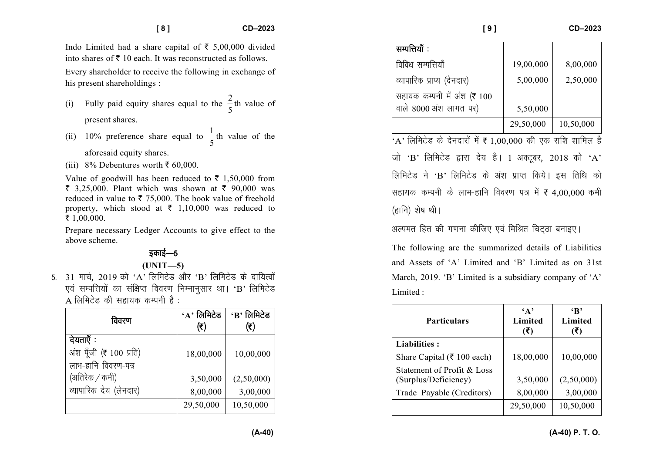Indo Limited had a share capital of  $\bar{\tau}$  5,00,000 divided into shares of  $\bar{\tau}$  10 each. It was reconstructed as follows.

Every shareholder to receive the following in exchange of his present shareholdings :

- (i) Fully paid equity shares equal to the 2 5th value of present shares.
- (ii) 10% preference share equal to  $\frac{1}{5}$ th value of the aforesaid equity shares.
- (iii) 8% Debentures worth  $\bar{\tau}$  60,000.

Value of goodwill has been reduced to  $\bar{\tau}$  1,50,000 from  $\bar{\xi}$  3,25,000. Plant which was shown at  $\bar{\xi}$  90,000 was reduced in value to  $\bar{\tau}$  75,000. The book value of freehold property, which stood at  $\bar{\tau}$  1,10,000 was reduced to ₹ 1,00,000.

Prepare necessary Ledger Accounts to give effect to the above scheme.

## डकाई—5

#### **(UNIT—5)**

5. 31 मार्च, 2019 को 'A' लिमिटेड और 'B' लिमिटेड के दायित्वों एवं सम्पत्तियों का संक्षिप्त विवरण निम्नानुसार था। ' $\mathbf{B}$ ' लिमिटेड  $A$  लिमिटेड की सहायक कम्पनी है:

| विवरण                   | $\cdot$ A' लिमिटेड<br>(₹) | $\cdot$ B' लिमिटेड<br>(₹) |
|-------------------------|---------------------------|---------------------------|
| देयताएँ :               |                           |                           |
| अंश पूँजी (₹ 100 प्रति) | 18,00,000                 | 10,00,000                 |
| लाभ-हानि विवरण-पत्र     |                           |                           |
| (अतिरेक / कमी)          | 3,50,000                  | (2,50,000)                |
| व्यापारिक देय (लेनदार)  | 8,00,000                  | 3,00,000                  |
|                         | 29,50,000                 | 10,50,000                 |

| सम्पत्तियाँ :               |           |           |
|-----------------------------|-----------|-----------|
| विविध सम्पत्तियाँ           | 19,00,000 | 8,00,000  |
| व्यापारिक प्राप्य (देनदार)  | 5,00,000  | 2,50,000  |
| सहायक कम्पनी में अंश (₹ 100 |           |           |
| वाले 8000 अंश लागत पर)      | 5,50,000  |           |
|                             | 29,50,000 | 10,50,000 |

 $\Delta'$  लिमिटेड के देनदारों में ₹ 1,00,000 की एक राशि शामिल है: जो 'B' लिमिटेड द्वारा देय है। 1 अक्टूबर, 2018 को 'A' लिमिटेड ने 'B' लिमिटेड के अंश प्राप्त किये। इस तिथि को सहायक कम्पनी के लाभ-हानि विवरण पत्र में ₹ 4,00,000 कमी (हानि) शेष थी।

अल्पमत हित की गणना कीजिए एवं मिश्रित चिटठा बनाइए।

The following are the summarized details of Liabilities and Assets of 'A' Limited and 'B' Limited as on 31st March, 2019. 'B' Limited is a subsidiary company of 'A' Limited :

| <b>Particulars</b>                                 | $\mathbf{A}$ ,<br><b>Limited</b><br>(₹) | $\mathbf{R}$<br>Limited<br>(3) |
|----------------------------------------------------|-----------------------------------------|--------------------------------|
| Liabilities :                                      |                                         |                                |
| Share Capital ( $\bar{\tau}$ 100 each)             | 18,00,000                               | 10,00,000                      |
| Statement of Profit & Loss<br>(Surplus/Deficiency) | 3,50,000                                | (2,50,000)                     |
| Trade Payable (Creditors)                          | 8,00,000                                | 3,00,000                       |
|                                                    | 29,50,000                               | 10,50,000                      |